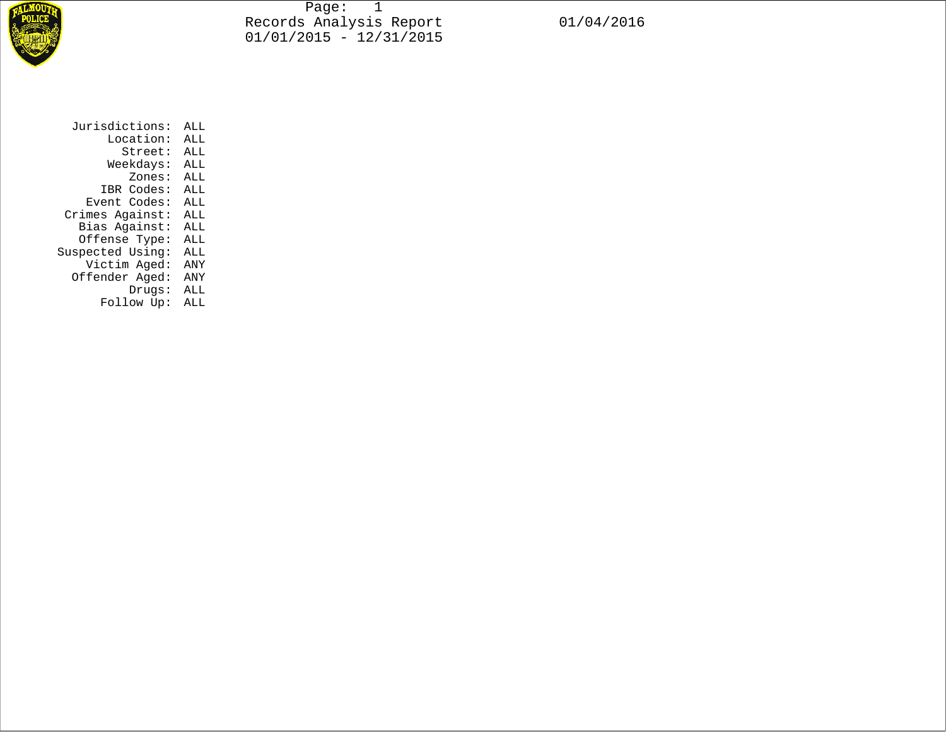

Page: 1 Records Analysis Report 01/04/2016  $01/01/2015 - 12/31/2015$ 

Jurisdictions: ALL Location: ALL Street: ALL Weekdays: ALL Zones: ALL IBR Codes: ALL Event Codes: ALL Crimes Against: ALL Bias Against: ALL Offense Type: ALL Suspected Using: ALL Victim Aged: ANY Offender Aged: ANY Drugs: ALL Follow Up: ALL